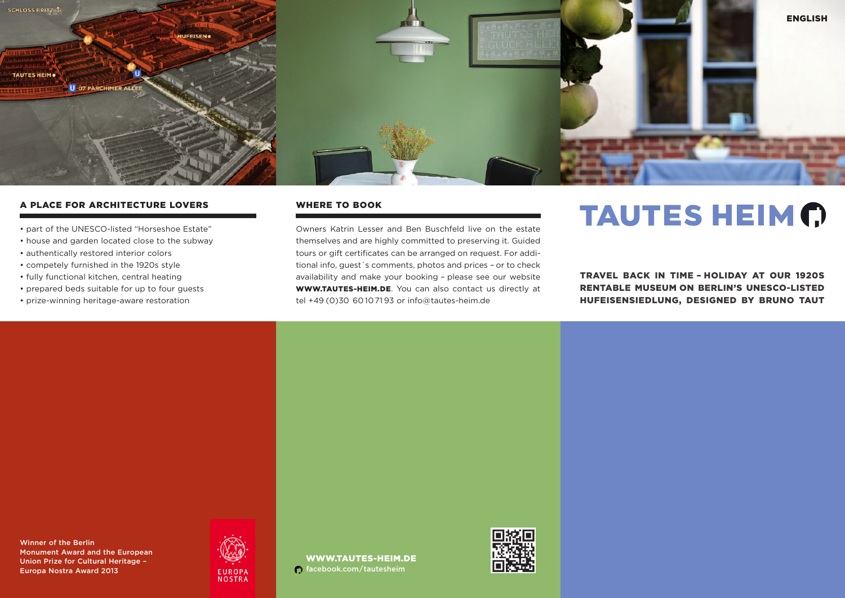

## A PLACE FOR ARCHITECTURE LOVERS

- part of the UNESCO-listed "Horseshoe Estate"
- house and garden located close to the subway
- authentically restored interior colors
- competely furnished in the 1920s style
- fully functional kitchen, central heating
- prepared beds suitable for up to four guests
- prize-winning heritage-aware restoration

#### WHERE TO BOOK

Owners Katrin Lesser and Ben Buschfeld live on the estate themselves and are highly committed to preserving it. Guided tours or gift certificates can be arranged on request. For additional info, guest´s comments, photos and prices – or to check availability and make your booking – please see our website WWW.TAUTES-HEIM.DE. You can also contact us directly at tel +49 (0)30 60 1071 93 or info@tautes-heim.de

# **TAUTES HEIM (?)**

TRAVEL BACK IN TIME – HOLIDAY AT OUR 1920S RENTABLE MUSEUM ON BERLIN'S UNESCO-LISTED HUFEISENSIEDLUNG, DESIGNED BY BRUNO TAUT

Winner of the Berlin Monument Award and the European Union Prize for Cultural Heritage – EUROPA FACEBOOK.com/tautesheim<br>Europa Nostra Award 2013 facebook.com/tautesheim



WWW.TAUTES-HEIM.DE